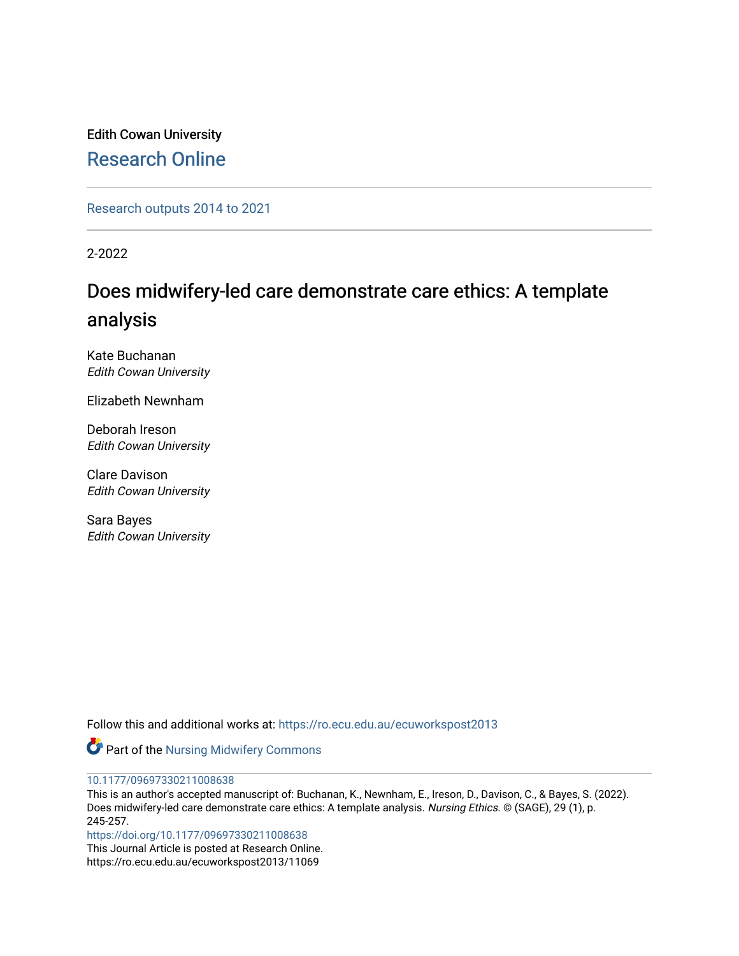Edith Cowan University [Research Online](https://ro.ecu.edu.au/) 

[Research outputs 2014 to 2021](https://ro.ecu.edu.au/ecuworkspost2013) 

2-2022

# Does midwifery-led care demonstrate care ethics: A template analysis

Kate Buchanan Edith Cowan University

Elizabeth Newnham

Deborah Ireson Edith Cowan University

Clare Davison Edith Cowan University

Sara Bayes Edith Cowan University

Follow this and additional works at: [https://ro.ecu.edu.au/ecuworkspost2013](https://ro.ecu.edu.au/ecuworkspost2013?utm_source=ro.ecu.edu.au%2Fecuworkspost2013%2F11069&utm_medium=PDF&utm_campaign=PDFCoverPages) 



[10.1177/09697330211008638](http://dx.doi.org/10.1177/09697330211008638)

This is an author's accepted manuscript of: Buchanan, K., Newnham, E., Ireson, D., Davison, C., & Bayes, S. (2022). Does midwifery-led care demonstrate care ethics: A template analysis. Nursing Ethics. © (SAGE), 29 (1), p. 245-257.

[https://doi.org/10.1177/09697330211008638](https://doi.org/10.1177%2F09697330211008638) 

This Journal Article is posted at Research Online. https://ro.ecu.edu.au/ecuworkspost2013/11069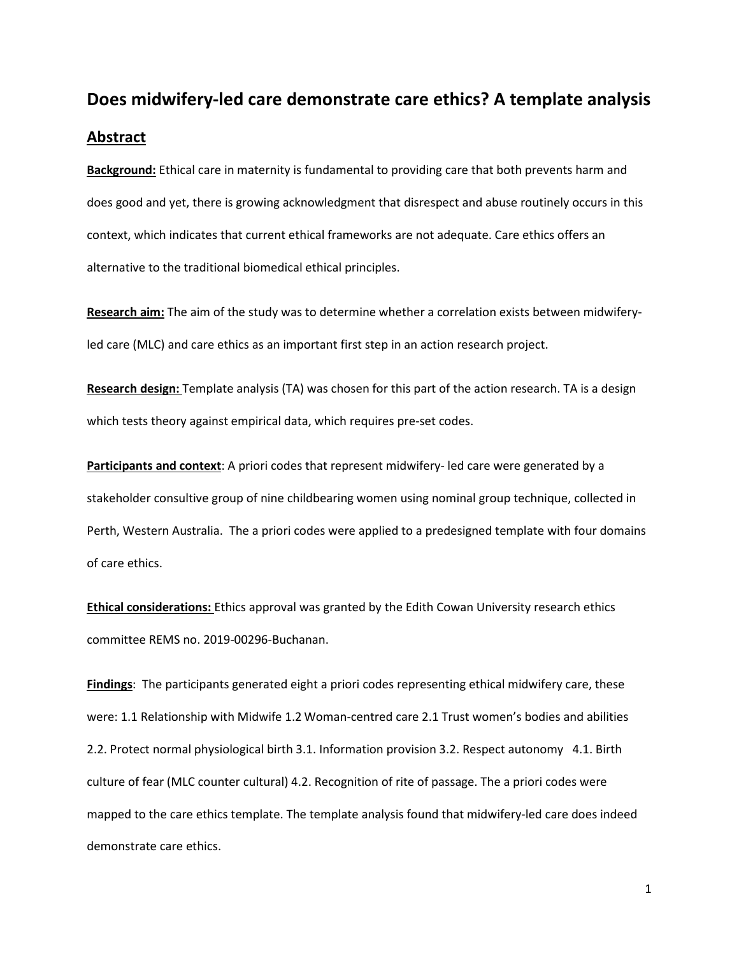# **Does midwifery-led care demonstrate care ethics? A template analysis Abstract**

**Background:** Ethical care in maternity is fundamental to providing care that both prevents harm and does good and yet, there is growing acknowledgment that disrespect and abuse routinely occurs in this context, which indicates that current ethical frameworks are not adequate. Care ethics offers an alternative to the traditional biomedical ethical principles.

**Research aim:** The aim of the study was to determine whether a correlation exists between midwiferyled care (MLC) and care ethics as an important first step in an action research project.

**Research design:** Template analysis (TA) was chosen for this part of the action research. TA is a design which tests theory against empirical data, which requires pre-set codes.

**Participants and context**: A priori codes that represent midwifery- led care were generated by a stakeholder consultive group of nine childbearing women using nominal group technique, collected in Perth, Western Australia. The a priori codes were applied to a predesigned template with four domains of care ethics.

**Ethical considerations:** Ethics approval was granted by the Edith Cowan University research ethics committee REMS no. 2019-00296-Buchanan.

**Findings**: The participants generated eight a priori codes representing ethical midwifery care, these were: 1.1 Relationship with Midwife 1.2 Woman-centred care 2.1 Trust women's bodies and abilities 2.2. Protect normal physiological birth 3.1. Information provision 3.2. Respect autonomy 4.1. Birth culture of fear (MLC counter cultural) 4.2. Recognition of rite of passage. The a priori codes were mapped to the care ethics template. The template analysis found that midwifery-led care does indeed demonstrate care ethics.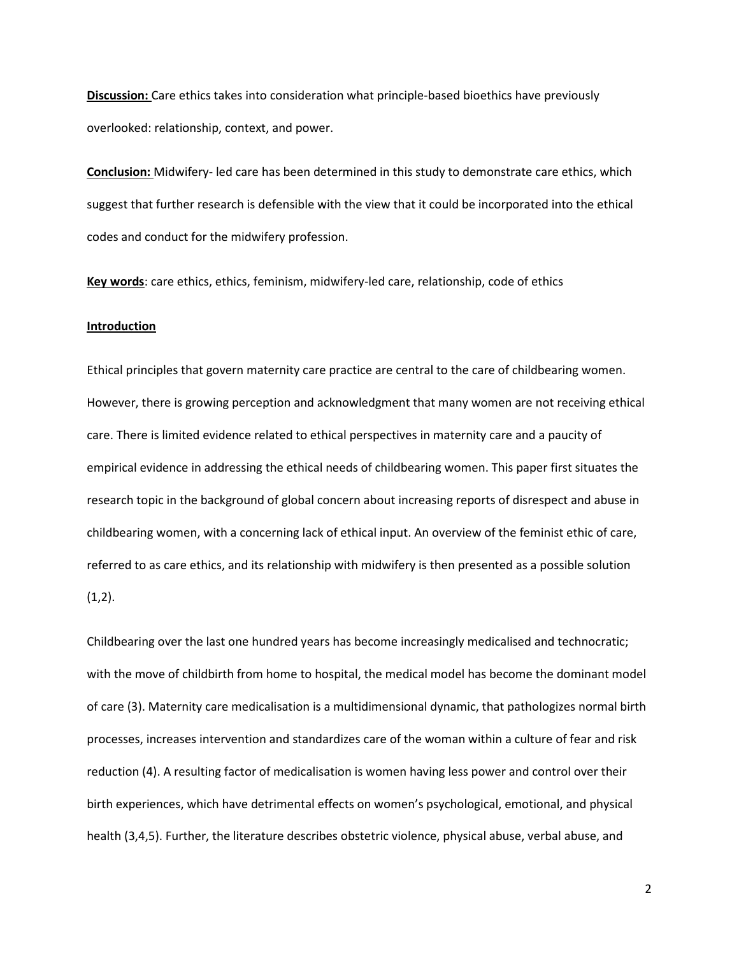**Discussion:** Care ethics takes into consideration what principle-based bioethics have previously overlooked: relationship, context, and power.

**Conclusion:** Midwifery- led care has been determined in this study to demonstrate care ethics, which suggest that further research is defensible with the view that it could be incorporated into the ethical codes and conduct for the midwifery profession.

**Key words**: care ethics, ethics, feminism, midwifery-led care, relationship, code of ethics

### **Introduction**

Ethical principles that govern maternity care practice are central to the care of childbearing women. However, there is growing perception and acknowledgment that many women are not receiving ethical care. There is limited evidence related to ethical perspectives in maternity care and a paucity of empirical evidence in addressing the ethical needs of childbearing women. This paper first situates the research topic in the background of global concern about increasing reports of disrespect and abuse in childbearing women, with a concerning lack of ethical input. An overview of the feminist ethic of care, referred to as care ethics, and its relationship with midwifery is then presented as a possible solution  $(1,2)$ .

Childbearing over the last one hundred years has become increasingly medicalised and technocratic; with the move of childbirth from home to hospital, the medical model has become the dominant model of care (3). Maternity care medicalisation is a multidimensional dynamic, that pathologizes normal birth processes, increases intervention and standardizes care of the woman within a culture of fear and risk reduction (4). A resulting factor of medicalisation is women having less power and control over their birth experiences, which have detrimental effects on women's psychological, emotional, and physical health (3,4,5). Further, the literature describes obstetric violence, physical abuse, verbal abuse, and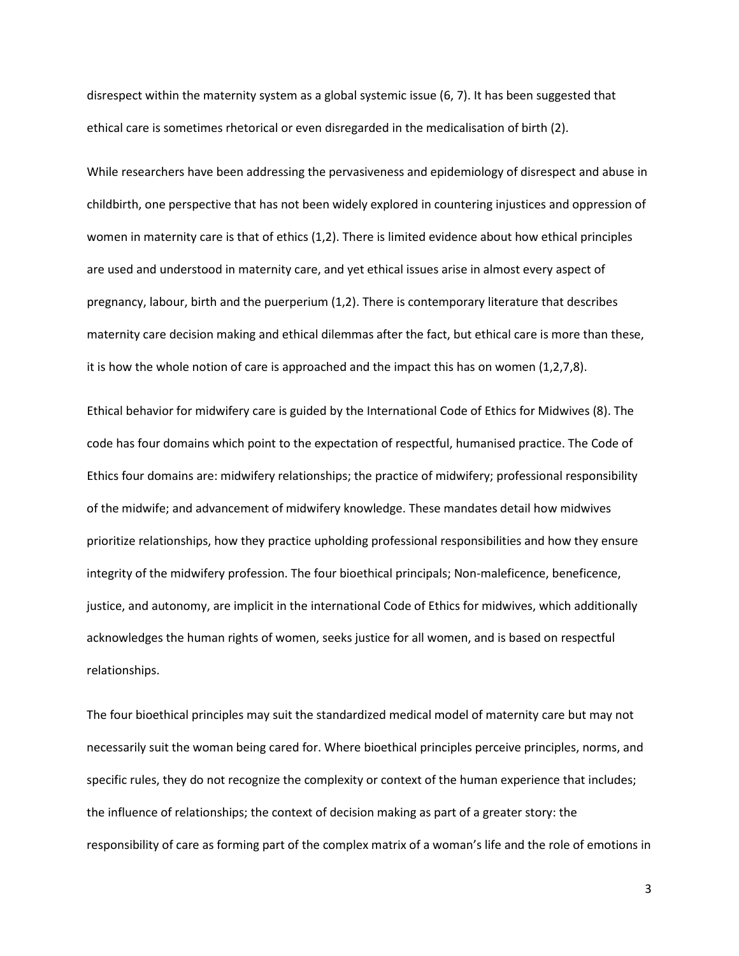disrespect within the maternity system as a global systemic issue (6, 7). It has been suggested that ethical care is sometimes rhetorical or even disregarded in the medicalisation of birth (2).

While researchers have been addressing the pervasiveness and epidemiology of disrespect and abuse in childbirth, one perspective that has not been widely explored in countering injustices and oppression of women in maternity care is that of ethics (1,2). There is limited evidence about how ethical principles are used and understood in maternity care, and yet ethical issues arise in almost every aspect of pregnancy, labour, birth and the puerperium (1,2). There is contemporary literature that describes maternity care decision making and ethical dilemmas after the fact, but ethical care is more than these, it is how the whole notion of care is approached and the impact this has on women (1,2,7,8).

Ethical behavior for midwifery care is guided by the International Code of Ethics for Midwives (8). The code has four domains which point to the expectation of respectful, humanised practice. The Code of Ethics four domains are: midwifery relationships; the practice of midwifery; professional responsibility of the midwife; and advancement of midwifery knowledge. These mandates detail how midwives prioritize relationships, how they practice upholding professional responsibilities and how they ensure integrity of the midwifery profession. The four bioethical principals; Non-maleficence, beneficence, justice, and autonomy, are implicit in the international Code of Ethics for midwives, which additionally acknowledges the human rights of women, seeks justice for all women, and is based on respectful relationships.

The four bioethical principles may suit the standardized medical model of maternity care but may not necessarily suit the woman being cared for. Where bioethical principles perceive principles, norms, and specific rules, they do not recognize the complexity or context of the human experience that includes; the influence of relationships; the context of decision making as part of a greater story: the responsibility of care as forming part of the complex matrix of a woman's life and the role of emotions in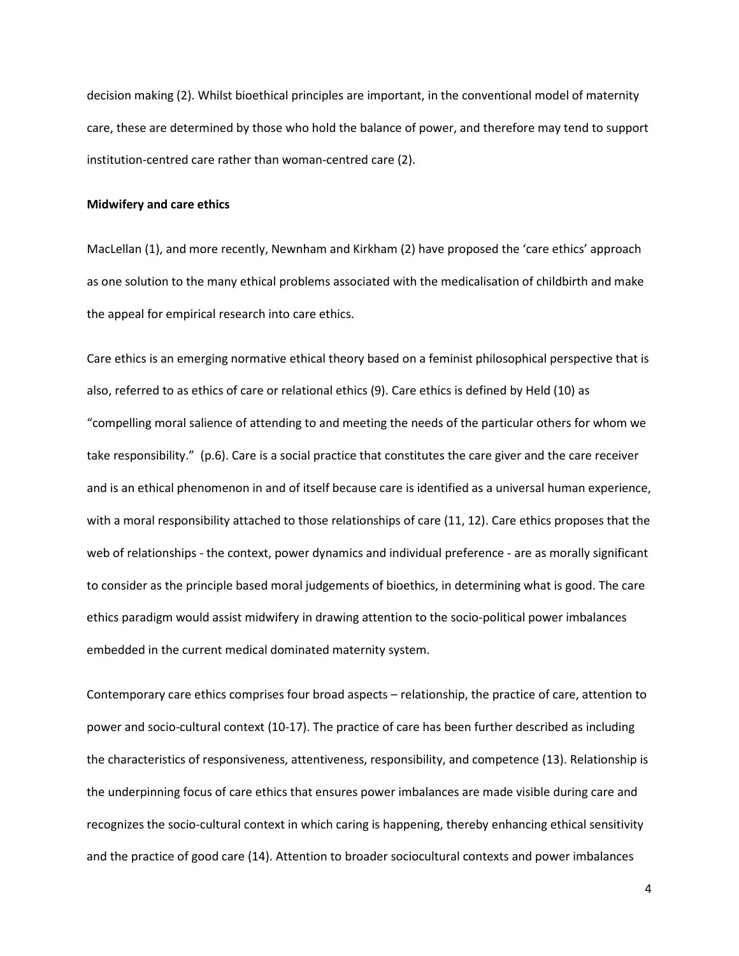decision making (2). Whilst bioethical principles are important, in the conventional model of maternity care, these are determined by those who hold the balance of power, and therefore may tend to support institution-centred care rather than woman-centred care (2).

### **Midwifery and care ethics**

MacLellan (1), and more recently, Newnham and Kirkham (2) have proposed the 'care ethics' approach as one solution to the many ethical problems associated with the medicalisation of childbirth and make the appeal for empirical research into care ethics.

Care ethics is an emerging normative ethical theory based on a feminist philosophical perspective that is also, referred to as ethics of care or relational ethics (9). Care ethics is defined by Held (10) as "compelling moral salience of attending to and meeting the needs of the particular others for whom we take responsibility." (p.6). Care is a social practice that constitutes the care giver and the care receiver and is an ethical phenomenon in and of itself because care is identified as a universal human experience, with a moral responsibility attached to those relationships of care (11, 12). Care ethics proposes that the web of relationships - the context, power dynamics and individual preference - are as morally significant to consider as the principle based moral judgements of bioethics, in determining what is good. The care ethics paradigm would assist midwifery in drawing attention to the socio-political power imbalances embedded in the current medical dominated maternity system.

Contemporary care ethics comprises four broad aspects – relationship, the practice of care, attention to power and socio-cultural context (10-17). The practice of care has been further described as including the characteristics of responsiveness, attentiveness, responsibility, and competence (13). Relationship is the underpinning focus of care ethics that ensures power imbalances are made visible during care and recognizes the socio-cultural context in which caring is happening, thereby enhancing ethical sensitivity and the practice of good care (14). Attention to broader sociocultural contexts and power imbalances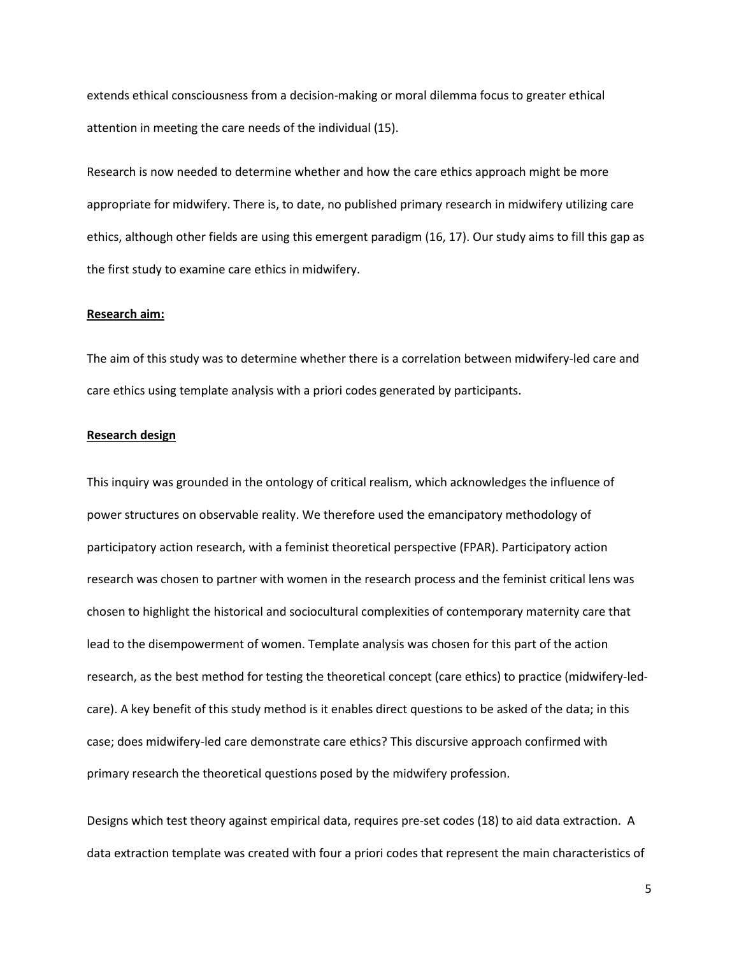extends ethical consciousness from a decision-making or moral dilemma focus to greater ethical attention in meeting the care needs of the individual (15).

Research is now needed to determine whether and how the care ethics approach might be more appropriate for midwifery. There is, to date, no published primary research in midwifery utilizing care ethics, although other fields are using this emergent paradigm (16, 17). Our study aims to fill this gap as the first study to examine care ethics in midwifery.

### **Research aim:**

The aim of this study was to determine whether there is a correlation between midwifery-led care and care ethics using template analysis with a priori codes generated by participants.

### **Research design**

This inquiry was grounded in the ontology of critical realism, which acknowledges the influence of power structures on observable reality. We therefore used the emancipatory methodology of participatory action research, with a feminist theoretical perspective (FPAR). Participatory action research was chosen to partner with women in the research process and the feminist critical lens was chosen to highlight the historical and sociocultural complexities of contemporary maternity care that lead to the disempowerment of women. Template analysis was chosen for this part of the action research, as the best method for testing the theoretical concept (care ethics) to practice (midwifery-ledcare). A key benefit of this study method is it enables direct questions to be asked of the data; in this case; does midwifery-led care demonstrate care ethics? This discursive approach confirmed with primary research the theoretical questions posed by the midwifery profession.

Designs which test theory against empirical data, requires pre-set codes (18) to aid data extraction. A data extraction template was created with four a priori codes that represent the main characteristics of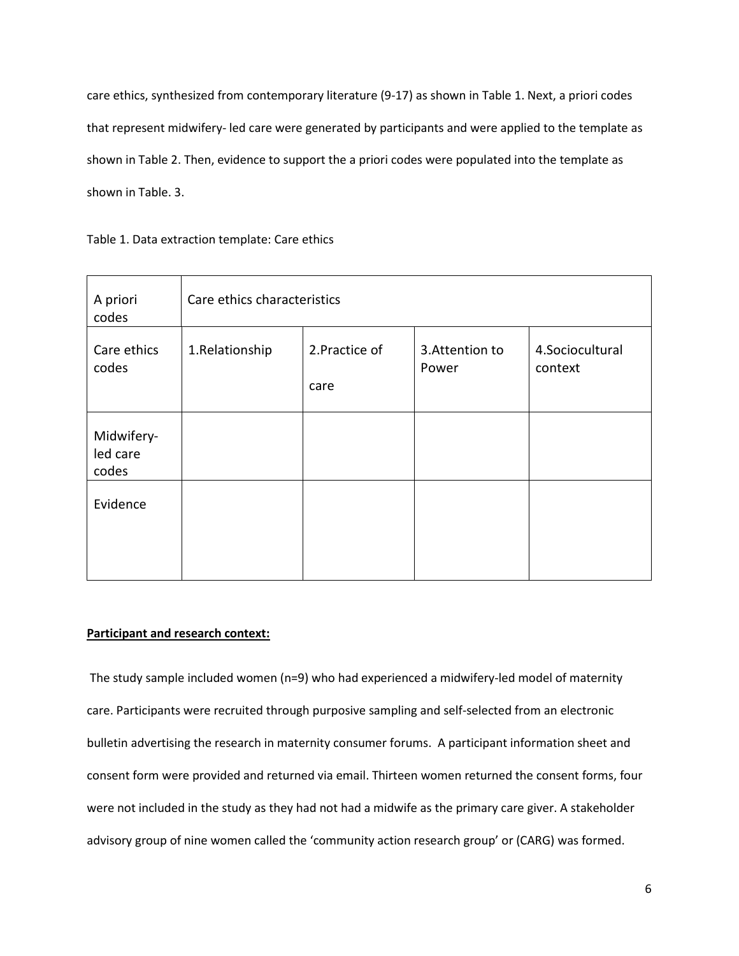care ethics, synthesized from contemporary literature (9-17) as shown in Table 1. Next, a priori codes that represent midwifery- led care were generated by participants and were applied to the template as shown in Table 2. Then, evidence to support the a priori codes were populated into the template as shown in Table. 3.

| A priori<br>codes               | Care ethics characteristics |                        |                         |                            |
|---------------------------------|-----------------------------|------------------------|-------------------------|----------------------------|
| Care ethics<br>codes            | 1.Relationship              | 2. Practice of<br>care | 3.Attention to<br>Power | 4.Sociocultural<br>context |
| Midwifery-<br>led care<br>codes |                             |                        |                         |                            |
| Evidence                        |                             |                        |                         |                            |

Table 1. Data extraction template: Care ethics

### **Participant and research context:**

The study sample included women (n=9) who had experienced a midwifery-led model of maternity care. Participants were recruited through purposive sampling and self-selected from an electronic bulletin advertising the research in maternity consumer forums. A participant information sheet and consent form were provided and returned via email. Thirteen women returned the consent forms, four were not included in the study as they had not had a midwife as the primary care giver. A stakeholder advisory group of nine women called the 'community action research group' or (CARG) was formed.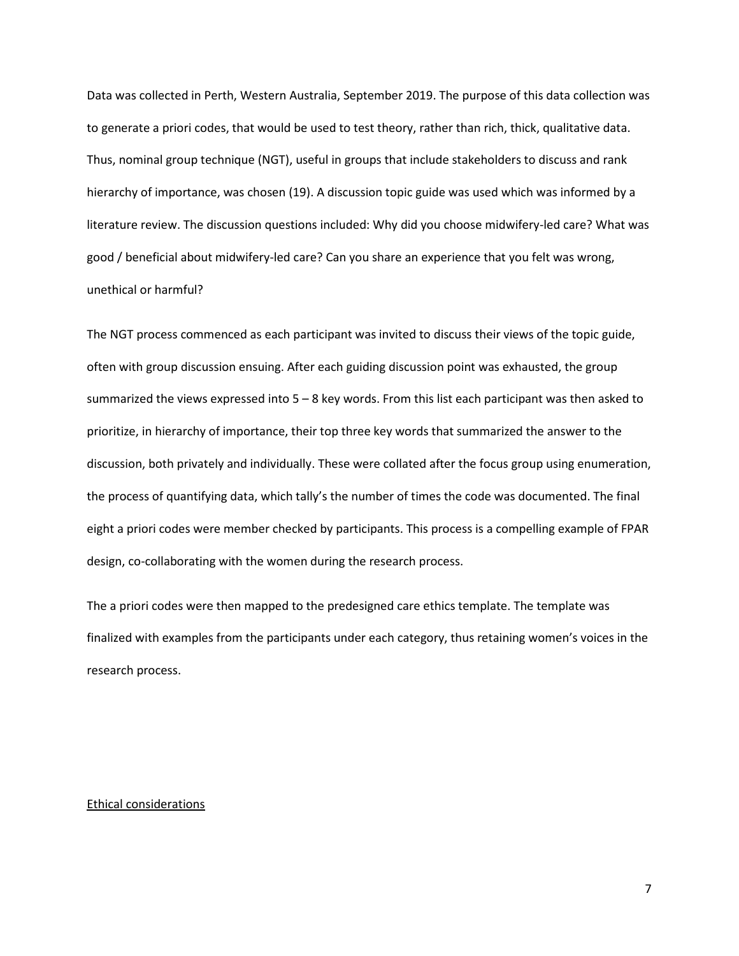Data was collected in Perth, Western Australia, September 2019. The purpose of this data collection was to generate a priori codes, that would be used to test theory, rather than rich, thick, qualitative data. Thus, nominal group technique (NGT), useful in groups that include stakeholders to discuss and rank hierarchy of importance, was chosen (19). A discussion topic guide was used which was informed by a literature review. The discussion questions included: Why did you choose midwifery-led care? What was good / beneficial about midwifery-led care? Can you share an experience that you felt was wrong, unethical or harmful?

The NGT process commenced as each participant was invited to discuss their views of the topic guide, often with group discussion ensuing. After each guiding discussion point was exhausted, the group summarized the views expressed into  $5 - 8$  key words. From this list each participant was then asked to prioritize, in hierarchy of importance, their top three key words that summarized the answer to the discussion, both privately and individually. These were collated after the focus group using enumeration, the process of quantifying data, which tally's the number of times the code was documented. The final eight a priori codes were member checked by participants. This process is a compelling example of FPAR design, co-collaborating with the women during the research process.

The a priori codes were then mapped to the predesigned care ethics template. The template was finalized with examples from the participants under each category, thus retaining women's voices in the research process.

### Ethical considerations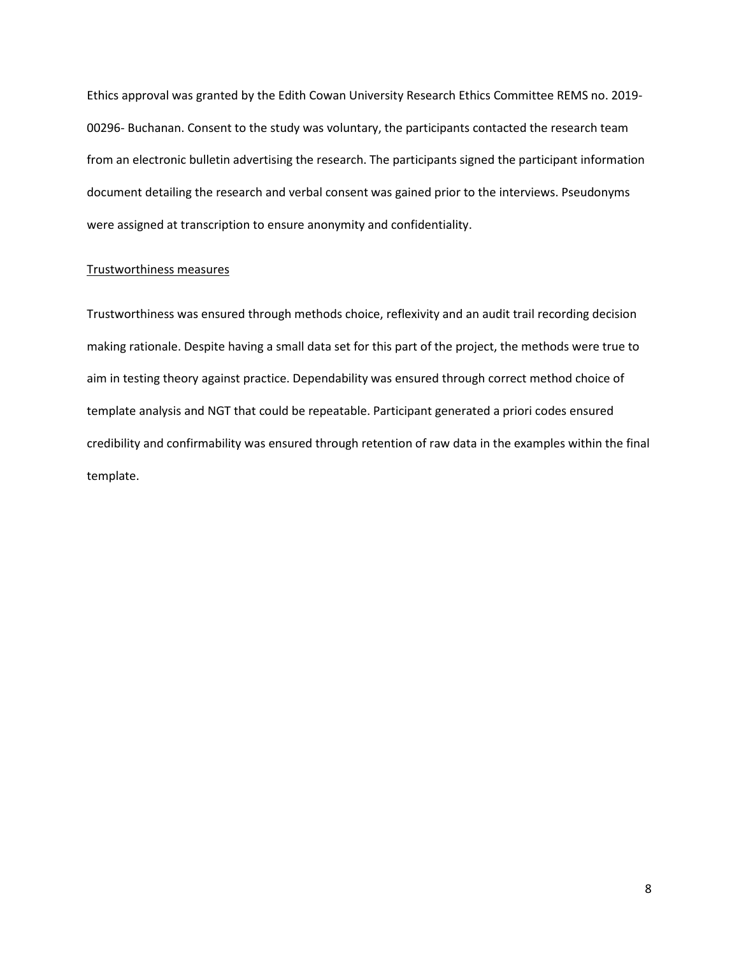Ethics approval was granted by the Edith Cowan University Research Ethics Committee REMS no. 2019- 00296- Buchanan. Consent to the study was voluntary, the participants contacted the research team from an electronic bulletin advertising the research. The participants signed the participant information document detailing the research and verbal consent was gained prior to the interviews. Pseudonyms were assigned at transcription to ensure anonymity and confidentiality.

### Trustworthiness measures

Trustworthiness was ensured through methods choice, reflexivity and an audit trail recording decision making rationale. Despite having a small data set for this part of the project, the methods were true to aim in testing theory against practice. Dependability was ensured through correct method choice of template analysis and NGT that could be repeatable. Participant generated a priori codes ensured credibility and confirmability was ensured through retention of raw data in the examples within the final template.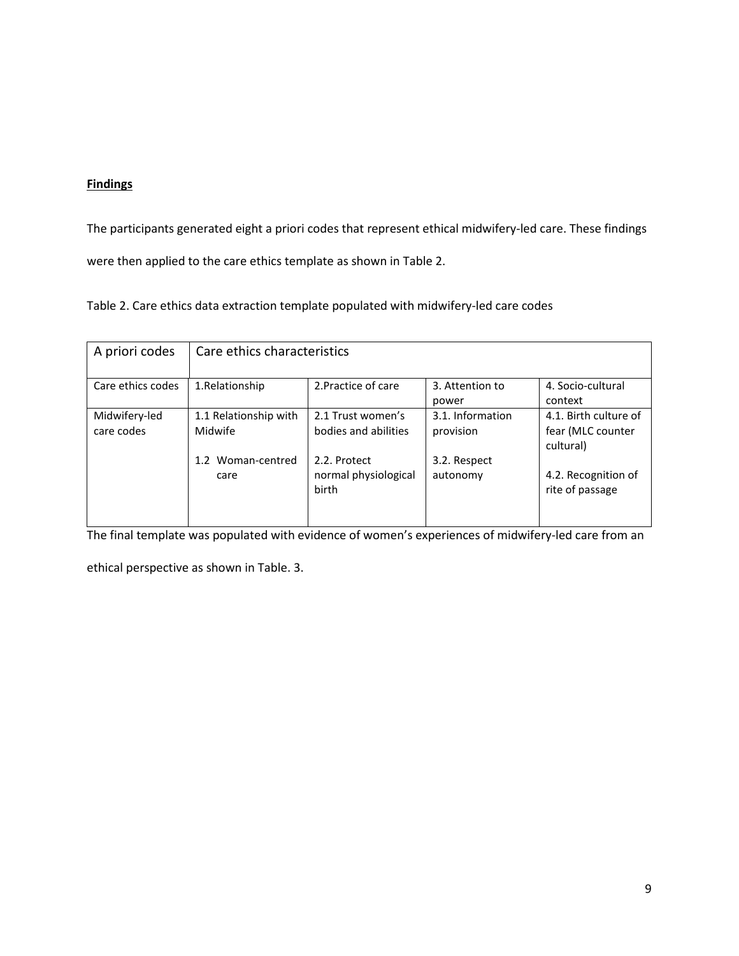## **Findings**

The participants generated eight a priori codes that represent ethical midwifery-led care. These findings were then applied to the care ethics template as shown in Table 2.

Table 2. Care ethics data extraction template populated with midwifery-led care codes

| A priori codes              | Care ethics characteristics      |                                               |                               |                                                         |  |  |
|-----------------------------|----------------------------------|-----------------------------------------------|-------------------------------|---------------------------------------------------------|--|--|
| Care ethics codes           | 1.Relationship                   | 2. Practice of care                           | 3. Attention to<br>power      | 4. Socio-cultural<br>context                            |  |  |
| Midwifery-led<br>care codes | 1.1 Relationship with<br>Midwife | 2.1 Trust women's<br>bodies and abilities     | 3.1. Information<br>provision | 4.1. Birth culture of<br>fear (MLC counter<br>cultural) |  |  |
|                             | 1.2 Woman-centred<br>care        | 2.2. Protect<br>normal physiological<br>birth | 3.2. Respect<br>autonomy      | 4.2. Recognition of<br>rite of passage                  |  |  |

The final template was populated with evidence of women's experiences of midwifery-led care from an

ethical perspective as shown in Table. 3.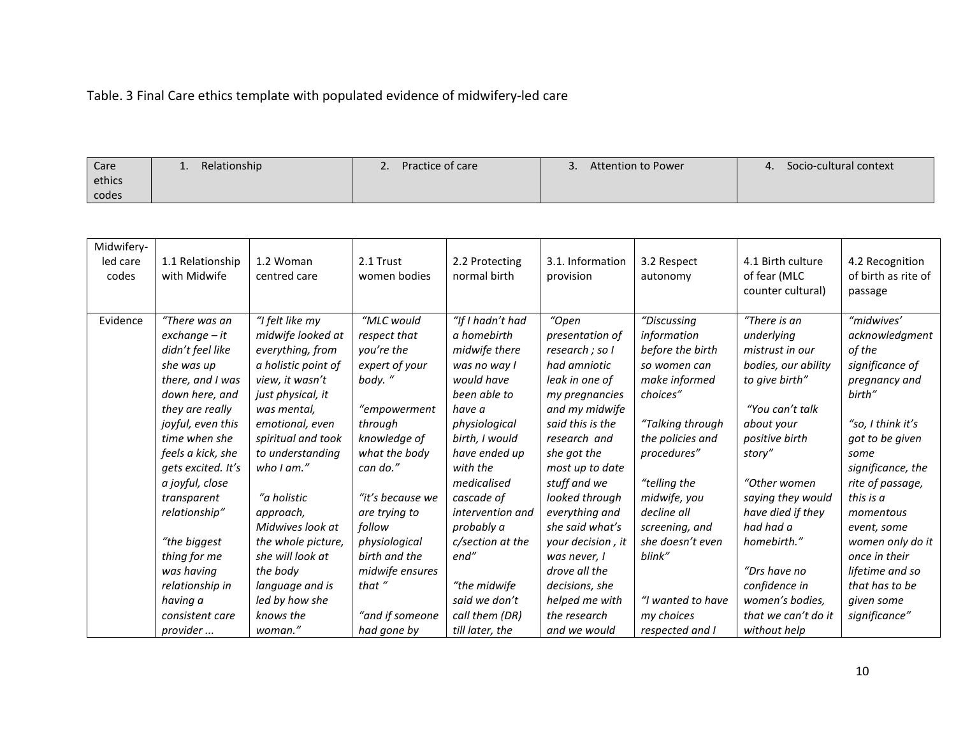## Table. 3 Final Care ethics template with populated evidence of midwifery-led care

| Care   | Relationship<br>-- | Practice of care | Attention to Power | Socio-cultural context |
|--------|--------------------|------------------|--------------------|------------------------|
| ethics |                    |                  |                    |                        |
| codes  |                    |                  |                    |                        |

| Midwifery- |                    |                     |                  |                  |                   |                   |                     |                     |
|------------|--------------------|---------------------|------------------|------------------|-------------------|-------------------|---------------------|---------------------|
| led care   | 1.1 Relationship   | 1.2 Woman           | 2.1 Trust        | 2.2 Protecting   | 3.1. Information  | 3.2 Respect       | 4.1 Birth culture   | 4.2 Recognition     |
| codes      | with Midwife       | centred care        | women bodies     | normal birth     | provision         | autonomy          | of fear (MLC        | of birth as rite of |
|            |                    |                     |                  |                  |                   |                   | counter cultural)   | passage             |
|            |                    |                     |                  |                  |                   |                   |                     |                     |
| Evidence   | "There was an      | "I felt like my     | "MLC would       | "If I hadn't had | "Open             | "Discussing       | "There is an        | "midwives'          |
|            | $exchange - it$    | midwife looked at   | respect that     | a homebirth      | presentation of   | information       | underlying          | acknowledgment      |
|            | didn't feel like   | everything, from    | you're the       | midwife there    | research ; so I   | before the birth  | mistrust in our     | of the              |
|            | she was up         | a holistic point of | expert of your   | was no way I     | had amniotic      | so women can      | bodies, our ability | significance of     |
|            | there, and I was   | view, it wasn't     | body."           | would have       | leak in one of    | make informed     | to give birth"      | pregnancy and       |
|            | down here, and     | just physical, it   |                  | been able to     | my pregnancies    | choices"          |                     | birth"              |
|            | they are really    | was mental,         | "empowerment     | have a           | and my midwife    |                   | "You can't talk     |                     |
|            | joyful, even this  | emotional, even     | through          | physiological    | said this is the  | "Talking through  | about your          | "so, I think it's   |
|            | time when she      | spiritual and took  | knowledge of     | birth, I would   | research and      | the policies and  | positive birth      | got to be given     |
|            | feels a kick, she  | to understanding    | what the body    | have ended up    | she got the       | procedures"       | story"              | some                |
|            | gets excited. It's | who $l$ am."        | can do."         | with the         | most up to date   |                   |                     | significance, the   |
|            | a joyful, close    |                     |                  | medicalised      | stuff and we      | "telling the      | "Other women        | rite of passage,    |
|            | transparent        | "a holistic         | "it's because we | cascade of       | looked through    | midwife, you      | saying they would   | this is a           |
|            | relationship"      | approach,           | are trying to    | intervention and | everything and    | decline all       | have died if they   | momentous           |
|            |                    | Midwives look at    | follow           | probably a       | she said what's   | screening, and    | had had a           | event, some         |
|            | "the biggest       | the whole picture,  | physiological    | c/section at the | your decision, it | she doesn't even  | homebirth."         | women only do it    |
|            | thing for me       | she will look at    | birth and the    | end"             | was never, I      | blink"            |                     | once in their       |
|            | was having         | the body            | midwife ensures  |                  | drove all the     |                   | "Drs have no        | lifetime and so     |
|            | relationship in    | language and is     | that "           | "the midwife     | decisions, she    |                   | confidence in       | that has to be      |
|            | having a           | led by how she      |                  | said we don't    | helped me with    | "I wanted to have | women's bodies,     | given some          |
|            | consistent care    | knows the           | "and if someone  | call them (DR)   | the research      | my choices        | that we can't do it | significance"       |
|            | provider           | woman."             | had gone by      | till later, the  | and we would      | respected and I   | without help        |                     |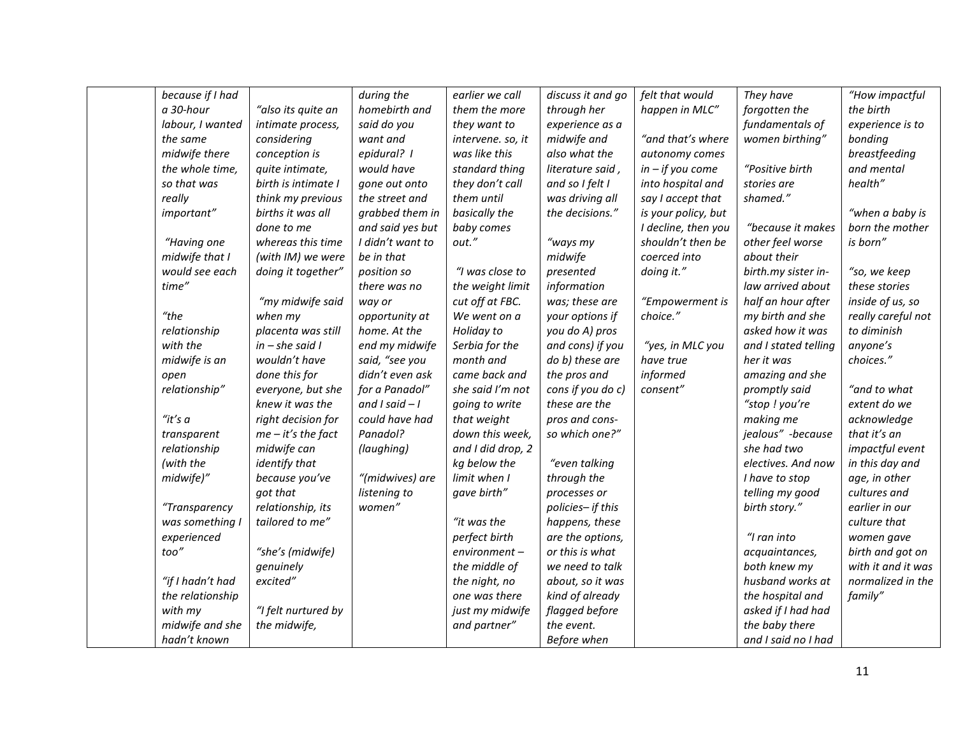| because if I had |                      | during the        | earlier we call   | discuss it and go | felt that would     | They have            | "How impactful     |
|------------------|----------------------|-------------------|-------------------|-------------------|---------------------|----------------------|--------------------|
| a 30-hour        | "also its quite an   | homebirth and     | them the more     | through her       | happen in MLC"      | forgotten the        | the birth          |
| labour, I wanted | intimate process,    | said do you       | they want to      | experience as a   |                     | fundamentals of      | experience is to   |
| the same         | considering          | want and          | intervene. so, it | midwife and       | "and that's where   | women birthing"      | bonding            |
| midwife there    | conception is        | epidural? I       | was like this     | also what the     | autonomy comes      |                      | breastfeeding      |
| the whole time,  | quite intimate,      | would have        | standard thing    | literature said,  | $in - if you come$  | "Positive birth      | and mental         |
| so that was      | birth is intimate I  | gone out onto     | they don't call   | and so I felt I   | into hospital and   | stories are          | health"            |
| really           | think my previous    | the street and    | them until        | was driving all   | say I accept that   | shamed."             |                    |
| important"       | births it was all    | grabbed them in   | basically the     | the decisions."   | is your policy, but |                      | "when a baby is    |
|                  | done to me           | and said yes but  | baby comes        |                   | I decline, then you | "because it makes    | born the mother    |
| "Having one      | whereas this time    | I didn't want to  | out."             | "ways my          | shouldn't then be   | other feel worse     | is born"           |
| midwife that I   | (with IM) we were    | be in that        |                   | midwife           | coerced into        | about their          |                    |
| would see each   | doing it together"   | position so       | "I was close to   | presented         | doing it."          | birth.my sister in-  | "so, we keep       |
| time"            |                      | there was no      | the weight limit  | information       |                     | law arrived about    | these stories      |
|                  | "my midwife said     | way or            | cut off at FBC.   | was; these are    | "Empowerment is     | half an hour after   | inside of us, so   |
| "the             | when my              | opportunity at    | We went on a      | your options if   | choice."            | my birth and she     | really careful not |
| relationship     | placenta was still   | home. At the      | Holiday to        | you do A) pros    |                     | asked how it was     | to diminish        |
| with the         | $in - she said I$    | end my midwife    | Serbia for the    | and cons) if you  | "yes, in MLC you    | and I stated telling | anyone's           |
| midwife is an    | wouldn't have        | said, "see you    | month and         | do b) these are   | have true           | her it was           | choices."          |
| open             | done this for        | didn't even ask   | came back and     | the pros and      | informed            | amazing and she      |                    |
| relationship"    | everyone, but she    | for a Panadol"    | she said I'm not  | cons if you do c) | consent"            | promptly said        | "and to what       |
|                  | knew it was the      | and $I$ said $-I$ | going to write    | these are the     |                     | "stop ! you're       | extent do we       |
| "it's $a$        | right decision for   | could have had    | that weight       | pros and cons-    |                     | making me            | acknowledge        |
| transparent      | $me - it's$ the fact | Panadol?          | down this week,   | so which one?"    |                     | jealous" -because    | that it's an       |
| relationship     | midwife can          | (laughing)        | and I did drop, 2 |                   |                     | she had two          | impactful event    |
| (with the        | identify that        |                   | kg below the      | "even talking     |                     | electives. And now   | in this day and    |
| midwife)"        | because you've       | "(midwives) are   | limit when I      | through the       |                     | I have to stop       | age, in other      |
|                  | got that             | listening to      | gave birth"       | processes or      |                     | telling my good      | cultures and       |
| "Transparency    | relationship, its    | women"            |                   | policies- if this |                     | birth story."        | earlier in our     |
| was something I  | tailored to me"      |                   | "it was the       | happens, these    |                     |                      | culture that       |
| experienced      |                      |                   | perfect birth     | are the options,  |                     | "I ran into          | women gave         |
| too"             | "she's (midwife)     |                   | environment-      | or this is what   |                     | acquaintances,       | birth and got on   |
|                  | genuinely            |                   | the middle of     | we need to talk   |                     | both knew my         | with it and it was |
| "if I hadn't had | excited"             |                   | the night, no     | about, so it was  |                     | husband works at     | normalized in the  |
| the relationship |                      |                   | one was there     | kind of already   |                     | the hospital and     | family"            |
| with my          | "I felt nurtured by  |                   | just my midwife   | flagged before    |                     | asked if I had had   |                    |
| midwife and she  | the midwife,         |                   | and partner"      | the event.        |                     | the baby there       |                    |
| hadn't known     |                      |                   |                   | Before when       |                     | and I said no I had  |                    |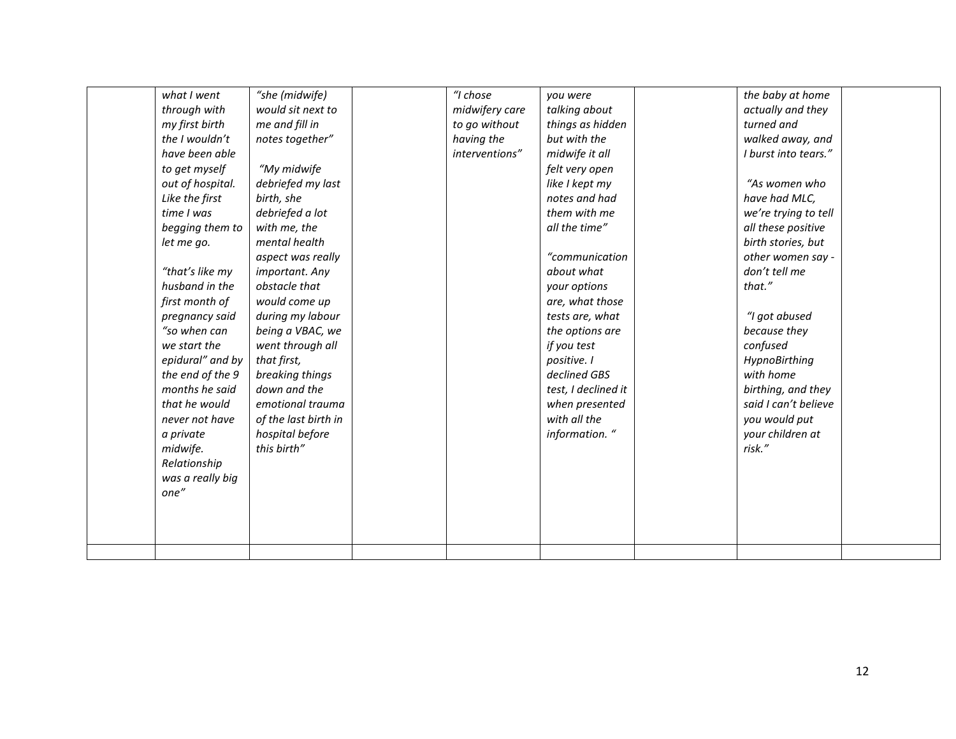| what I went      | "she (midwife)       | "I chose       | you were            | the baby at home     |  |
|------------------|----------------------|----------------|---------------------|----------------------|--|
| through with     | would sit next to    | midwifery care | talking about       | actually and they    |  |
| my first birth   | me and fill in       | to go without  | things as hidden    | turned and           |  |
| the I wouldn't   | notes together"      | having the     | but with the        | walked away, and     |  |
| have been able   |                      | interventions" | midwife it all      | I burst into tears." |  |
| to get myself    | "My midwife          |                | felt very open      |                      |  |
| out of hospital. | debriefed my last    |                | like I kept my      | "As women who        |  |
| Like the first   | birth, she           |                | notes and had       | have had MLC,        |  |
| time I was       | debriefed a lot      |                | them with me        | we're trying to tell |  |
| begging them to  | with me, the         |                | all the time"       | all these positive   |  |
| let me go.       | mental health        |                |                     | birth stories, but   |  |
|                  | aspect was really    |                | "communication      | other women say -    |  |
| "that's like my  | important. Any       |                | about what          | don't tell me        |  |
| husband in the   | obstacle that        |                | your options        | that."               |  |
| first month of   | would come up        |                | are, what those     |                      |  |
| pregnancy said   | during my labour     |                | tests are, what     | "I got abused        |  |
| "so when can     | being a VBAC, we     |                | the options are     | because they         |  |
| we start the     | went through all     |                | if you test         | confused             |  |
| epidural" and by | that first,          |                | positive. I         | HypnoBirthing        |  |
| the end of the 9 | breaking things      |                | declined GBS        | with home            |  |
| months he said   | down and the         |                | test, I declined it | birthing, and they   |  |
| that he would    | emotional trauma     |                | when presented      | said I can't believe |  |
| never not have   | of the last birth in |                | with all the        | you would put        |  |
| a private        | hospital before      |                | information. "      | your children at     |  |
| midwife.         | this birth"          |                |                     | risk."               |  |
| Relationship     |                      |                |                     |                      |  |
| was a really big |                      |                |                     |                      |  |
| one"             |                      |                |                     |                      |  |
|                  |                      |                |                     |                      |  |
|                  |                      |                |                     |                      |  |
|                  |                      |                |                     |                      |  |
|                  |                      |                |                     |                      |  |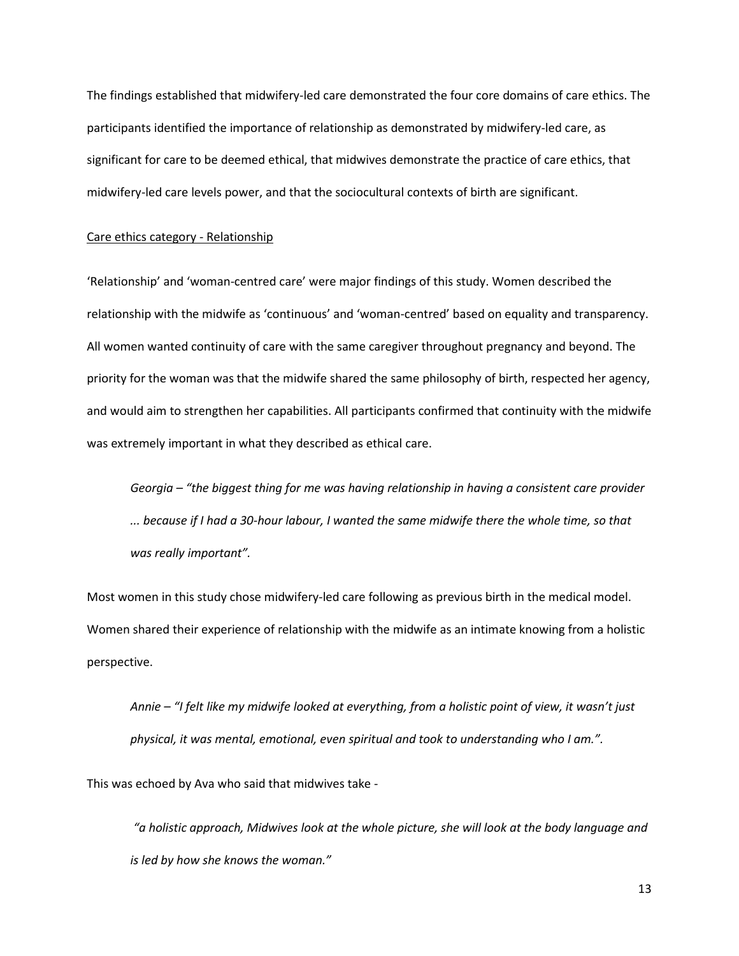The findings established that midwifery-led care demonstrated the four core domains of care ethics. The participants identified the importance of relationship as demonstrated by midwifery-led care, as significant for care to be deemed ethical, that midwives demonstrate the practice of care ethics, that midwifery-led care levels power, and that the sociocultural contexts of birth are significant.

### Care ethics category - Relationship

'Relationship' and 'woman-centred care' were major findings of this study. Women described the relationship with the midwife as 'continuous' and 'woman-centred' based on equality and transparency. All women wanted continuity of care with the same caregiver throughout pregnancy and beyond. The priority for the woman was that the midwife shared the same philosophy of birth, respected her agency, and would aim to strengthen her capabilities. All participants confirmed that continuity with the midwife was extremely important in what they described as ethical care.

*Georgia – "the biggest thing for me was having relationship in having a consistent care provider ... because if I had a 30-hour labour, I wanted the same midwife there the whole time, so that was really important".*

Most women in this study chose midwifery-led care following as previous birth in the medical model. Women shared their experience of relationship with the midwife as an intimate knowing from a holistic perspective.

*Annie – "I felt like my midwife looked at everything, from a holistic point of view, it wasn't just physical, it was mental, emotional, even spiritual and took to understanding who I am.".*

This was echoed by Ava who said that midwives take -

*"a holistic approach, Midwives look at the whole picture, she will look at the body language and is led by how she knows the woman."*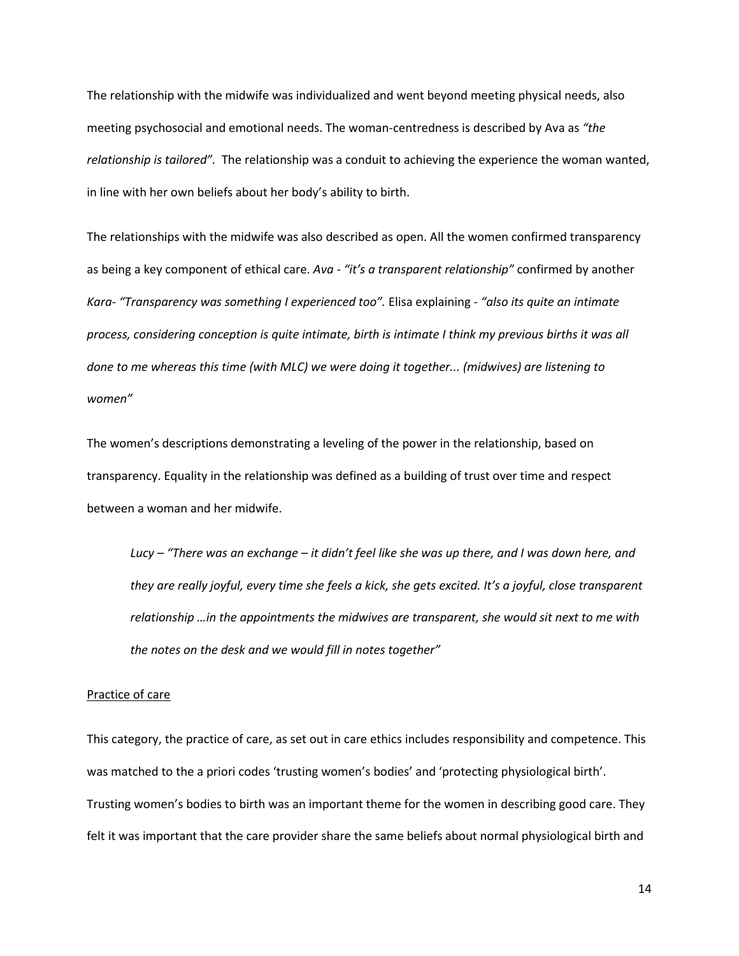The relationship with the midwife was individualized and went beyond meeting physical needs, also meeting psychosocial and emotional needs. The woman-centredness is described by Ava as *"the relationship is tailored".* The relationship was a conduit to achieving the experience the woman wanted, in line with her own beliefs about her body's ability to birth.

The relationships with the midwife was also described as open. All the women confirmed transparency as being a key component of ethical care. *Ava - "it's a transparent relationship"* confirmed by another *Kara- "Transparency was something I experienced too".* Elisa explaining *- "also its quite an intimate process, considering conception is quite intimate, birth is intimate I think my previous births it was all done to me whereas this time (with MLC) we were doing it together... (midwives) are listening to women"*

The women's descriptions demonstrating a leveling of the power in the relationship, based on transparency. Equality in the relationship was defined as a building of trust over time and respect between a woman and her midwife.

*Lucy – "There was an exchange – it didn't feel like she was up there, and I was down here, and they are really joyful, every time she feels a kick, she gets excited. It's a joyful, close transparent relationship …in the appointments the midwives are transparent, she would sit next to me with the notes on the desk and we would fill in notes together"*

### Practice of care

This category, the practice of care, as set out in care ethics includes responsibility and competence. This was matched to the a priori codes 'trusting women's bodies' and 'protecting physiological birth'. Trusting women's bodies to birth was an important theme for the women in describing good care. They felt it was important that the care provider share the same beliefs about normal physiological birth and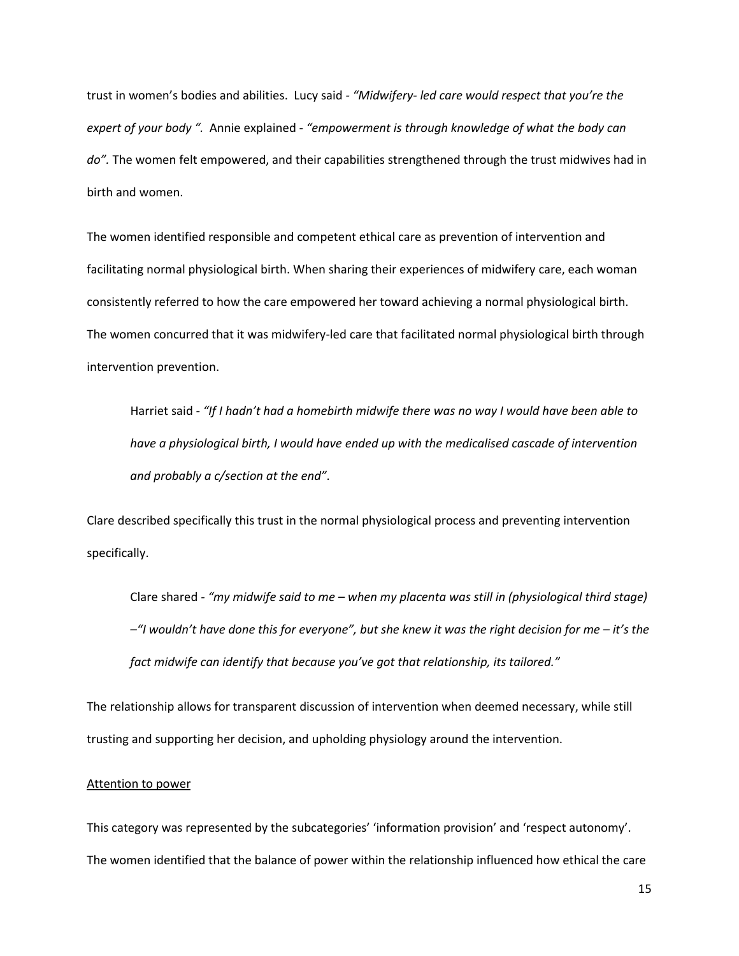trust in women's bodies and abilities. Lucy said *- "Midwifery- led care would respect that you're the expert of your body ".* Annie explained *- "empowerment is through knowledge of what the body can do".* The women felt empowered, and their capabilities strengthened through the trust midwives had in birth and women.

The women identified responsible and competent ethical care as prevention of intervention and facilitating normal physiological birth. When sharing their experiences of midwifery care, each woman consistently referred to how the care empowered her toward achieving a normal physiological birth. The women concurred that it was midwifery-led care that facilitated normal physiological birth through intervention prevention.

Harriet said *- "If I hadn't had a homebirth midwife there was no way I would have been able to have a physiological birth, I would have ended up with the medicalised cascade of intervention and probably a c/section at the end"*.

Clare described specifically this trust in the normal physiological process and preventing intervention specifically.

Clare shared *- "my midwife said to me – when my placenta was still in (physiological third stage) –"I wouldn't have done this for everyone", but she knew it was the right decision for me – it's the fact midwife can identify that because you've got that relationship, its tailored."*

The relationship allows for transparent discussion of intervention when deemed necessary, while still trusting and supporting her decision, and upholding physiology around the intervention.

### Attention to power

This category was represented by the subcategories' 'information provision' and 'respect autonomy'. The women identified that the balance of power within the relationship influenced how ethical the care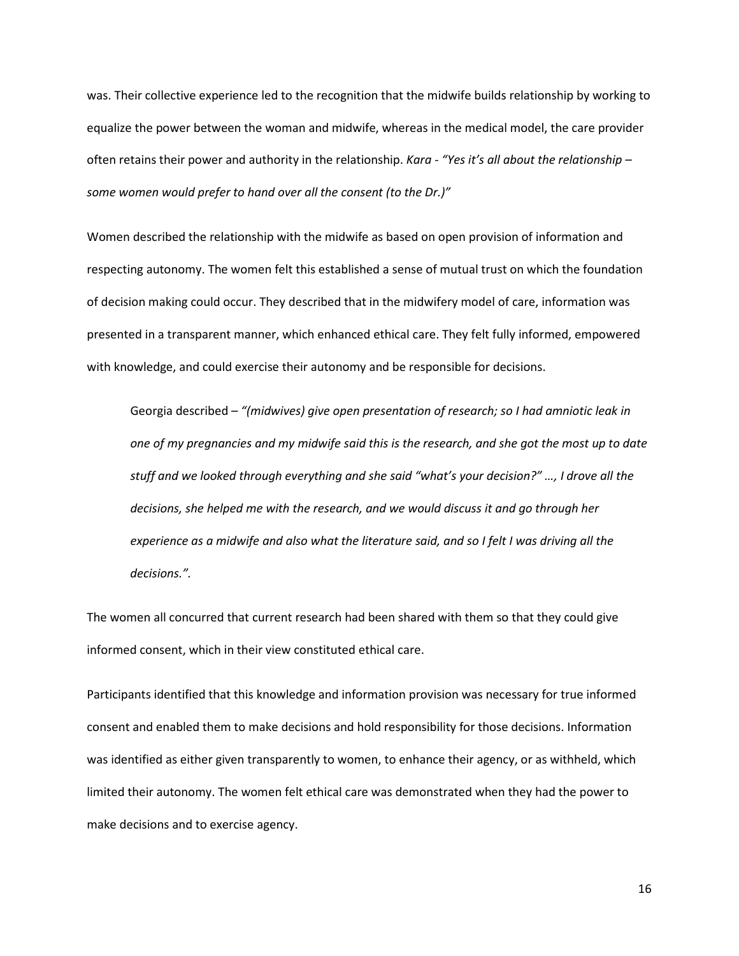was. Their collective experience led to the recognition that the midwife builds relationship by working to equalize the power between the woman and midwife, whereas in the medical model, the care provider often retains their power and authority in the relationship. *Kara* - *"Yes it's all about the relationship – some women would prefer to hand over all the consent (to the Dr.)"*

Women described the relationship with the midwife as based on open provision of information and respecting autonomy. The women felt this established a sense of mutual trust on which the foundation of decision making could occur. They described that in the midwifery model of care, information was presented in a transparent manner, which enhanced ethical care. They felt fully informed, empowered with knowledge, and could exercise their autonomy and be responsible for decisions.

Georgia described *– "(midwives) give open presentation of research; so I had amniotic leak in one of my pregnancies and my midwife said this is the research, and she got the most up to date stuff and we looked through everything and she said "what's your decision?" …, I drove all the decisions, she helped me with the research, and we would discuss it and go through her experience as a midwife and also what the literature said, and so I felt I was driving all the decisions.".* 

The women all concurred that current research had been shared with them so that they could give informed consent, which in their view constituted ethical care.

Participants identified that this knowledge and information provision was necessary for true informed consent and enabled them to make decisions and hold responsibility for those decisions. Information was identified as either given transparently to women, to enhance their agency, or as withheld, which limited their autonomy. The women felt ethical care was demonstrated when they had the power to make decisions and to exercise agency.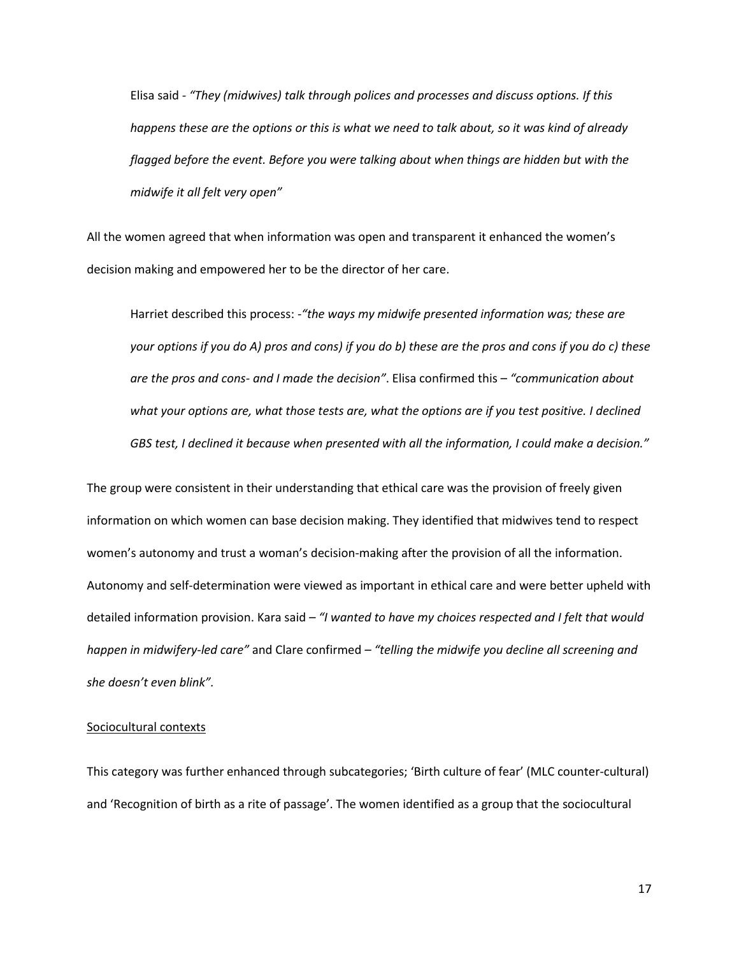Elisa said *- "They (midwives) talk through polices and processes and discuss options. If this happens these are the options or this is what we need to talk about, so it was kind of already flagged before the event. Before you were talking about when things are hidden but with the midwife it all felt very open"*

All the women agreed that when information was open and transparent it enhanced the women's decision making and empowered her to be the director of her care.

Harriet described this process: -*"the ways my midwife presented information was; these are your options if you do A) pros and cons) if you do b) these are the pros and cons if you do c) these are the pros and cons- and I made the decision"*. Elisa confirmed this *– "communication about*  what your options are, what those tests are, what the options are if you test positive. I declined *GBS test, I declined it because when presented with all the information, I could make a decision."*

The group were consistent in their understanding that ethical care was the provision of freely given information on which women can base decision making. They identified that midwives tend to respect women's autonomy and trust a woman's decision-making after the provision of all the information. Autonomy and self-determination were viewed as important in ethical care and were better upheld with detailed information provision. Kara said *– "I wanted to have my choices respected and I felt that would happen in midwifery-led care"* and Clare confirmed *– "telling the midwife you decline all screening and she doesn't even blink".*

### Sociocultural contexts

This category was further enhanced through subcategories; 'Birth culture of fear' (MLC counter-cultural) and 'Recognition of birth as a rite of passage'. The women identified as a group that the sociocultural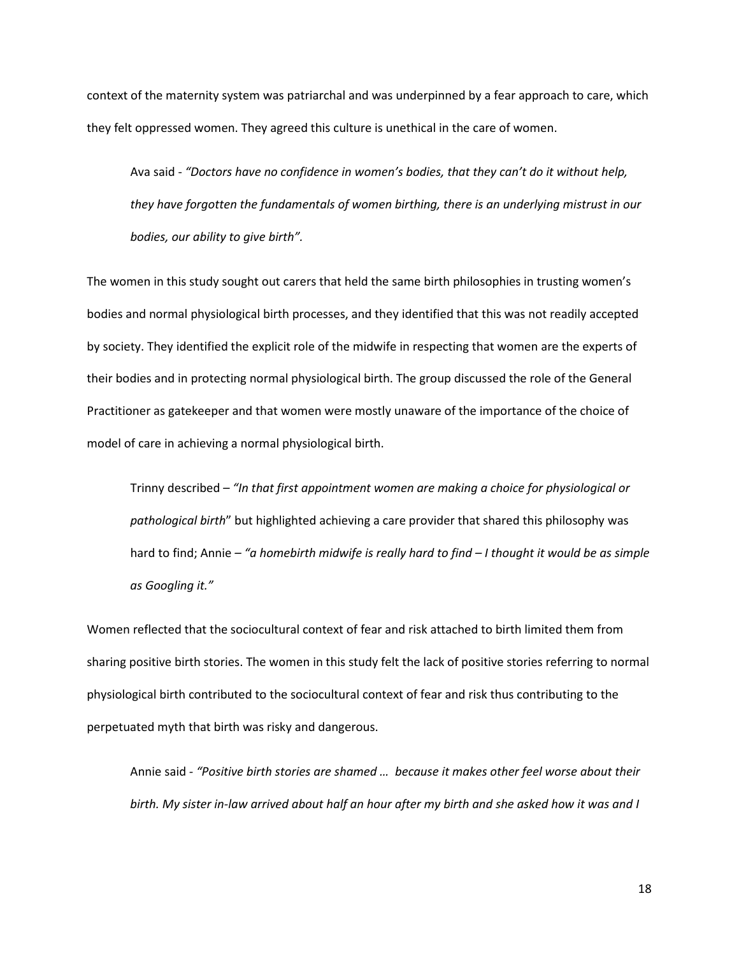context of the maternity system was patriarchal and was underpinned by a fear approach to care, which they felt oppressed women. They agreed this culture is unethical in the care of women.

Ava said - *"Doctors have no confidence in women's bodies, that they can't do it without help, they have forgotten the fundamentals of women birthing, there is an underlying mistrust in our bodies, our ability to give birth".* 

The women in this study sought out carers that held the same birth philosophies in trusting women's bodies and normal physiological birth processes, and they identified that this was not readily accepted by society. They identified the explicit role of the midwife in respecting that women are the experts of their bodies and in protecting normal physiological birth. The group discussed the role of the General Practitioner as gatekeeper and that women were mostly unaware of the importance of the choice of model of care in achieving a normal physiological birth.

Trinny described *– "In that first appointment women are making a choice for physiological or pathological birth*" but highlighted achieving a care provider that shared this philosophy was hard to find; Annie *– "a homebirth midwife is really hard to find – I thought it would be as simple as Googling it."*

Women reflected that the sociocultural context of fear and risk attached to birth limited them from sharing positive birth stories. The women in this study felt the lack of positive stories referring to normal physiological birth contributed to the sociocultural context of fear and risk thus contributing to the perpetuated myth that birth was risky and dangerous.

Annie said *- "Positive birth stories are shamed … because it makes other feel worse about their birth. My sister in-law arrived about half an hour after my birth and she asked how it was and I*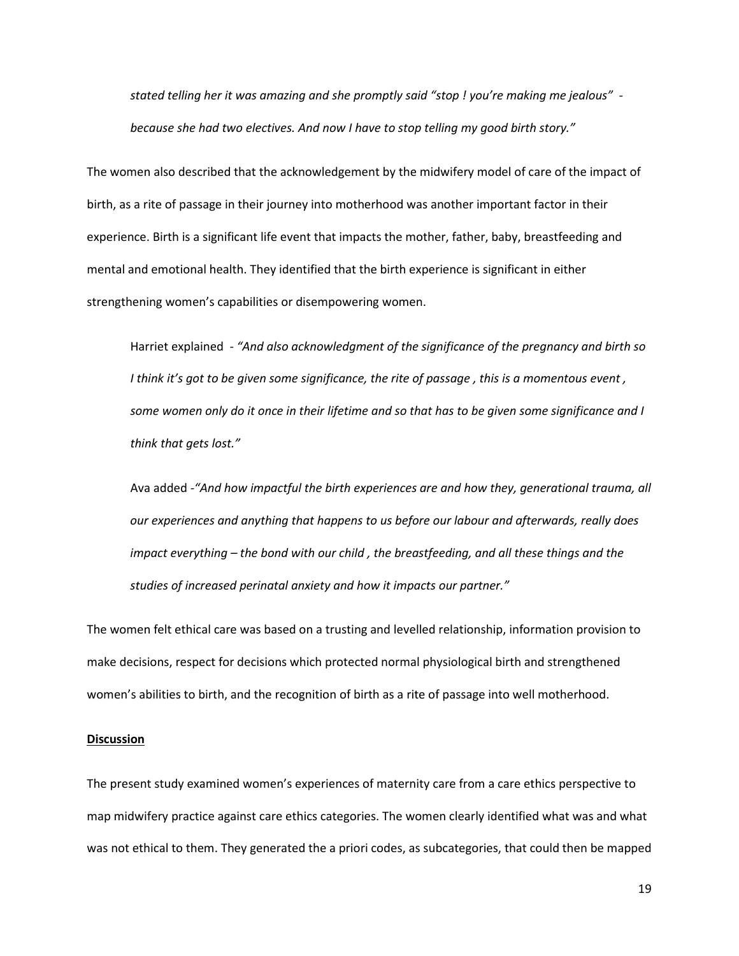*stated telling her it was amazing and she promptly said "stop ! you're making me jealous" because she had two electives. And now I have to stop telling my good birth story."*

The women also described that the acknowledgement by the midwifery model of care of the impact of birth, as a rite of passage in their journey into motherhood was another important factor in their experience. Birth is a significant life event that impacts the mother, father, baby, breastfeeding and mental and emotional health. They identified that the birth experience is significant in either strengthening women's capabilities or disempowering women.

Harriet explained *- "And also acknowledgment of the significance of the pregnancy and birth so I think it's got to be given some significance, the rite of passage , this is a momentous event , some women only do it once in their lifetime and so that has to be given some significance and I think that gets lost."* 

Ava added *-"And how impactful the birth experiences are and how they, generational trauma, all our experiences and anything that happens to us before our labour and afterwards, really does impact everything – the bond with our child , the breastfeeding, and all these things and the studies of increased perinatal anxiety and how it impacts our partner."*

The women felt ethical care was based on a trusting and levelled relationship, information provision to make decisions, respect for decisions which protected normal physiological birth and strengthened women's abilities to birth, and the recognition of birth as a rite of passage into well motherhood.

### **Discussion**

The present study examined women's experiences of maternity care from a care ethics perspective to map midwifery practice against care ethics categories. The women clearly identified what was and what was not ethical to them. They generated the a priori codes, as subcategories, that could then be mapped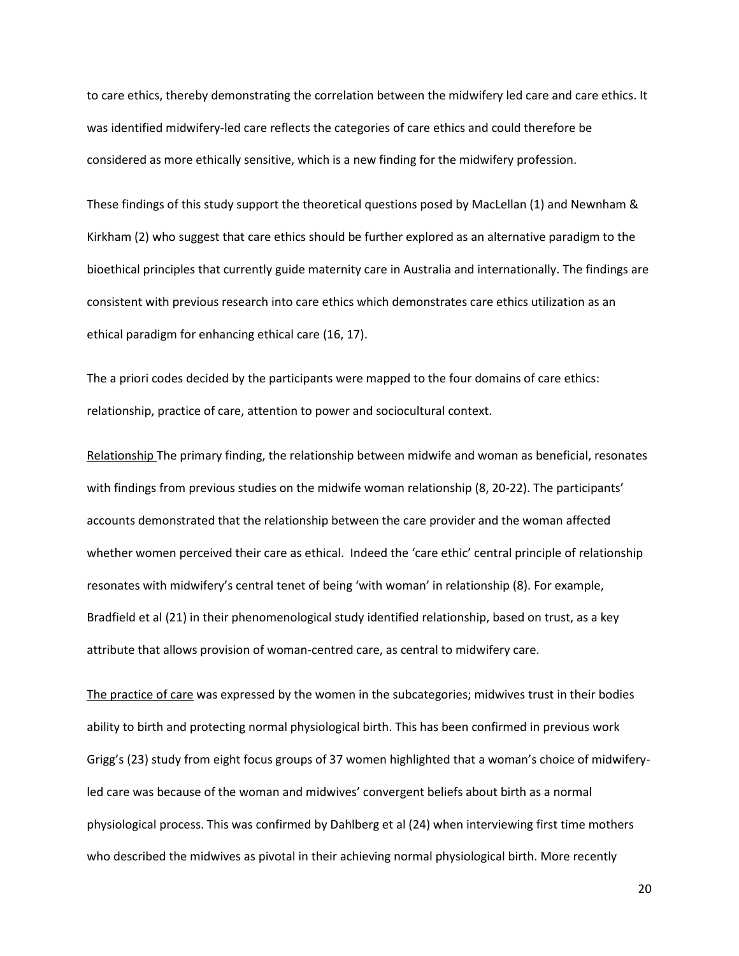to care ethics, thereby demonstrating the correlation between the midwifery led care and care ethics. It was identified midwifery-led care reflects the categories of care ethics and could therefore be considered as more ethically sensitive, which is a new finding for the midwifery profession.

These findings of this study support the theoretical questions posed by MacLellan (1) and Newnham & Kirkham (2) who suggest that care ethics should be further explored as an alternative paradigm to the bioethical principles that currently guide maternity care in Australia and internationally. The findings are consistent with previous research into care ethics which demonstrates care ethics utilization as an ethical paradigm for enhancing ethical care (16, 17).

The a priori codes decided by the participants were mapped to the four domains of care ethics: relationship, practice of care, attention to power and sociocultural context.

Relationship The primary finding, the relationship between midwife and woman as beneficial, resonates with findings from previous studies on the midwife woman relationship (8, 20-22). The participants' accounts demonstrated that the relationship between the care provider and the woman affected whether women perceived their care as ethical. Indeed the 'care ethic' central principle of relationship resonates with midwifery's central tenet of being 'with woman' in relationship (8). For example, Bradfield et al (21) in their phenomenological study identified relationship, based on trust, as a key attribute that allows provision of woman-centred care, as central to midwifery care.

The practice of care was expressed by the women in the subcategories; midwives trust in their bodies ability to birth and protecting normal physiological birth. This has been confirmed in previous work Grigg's (23) study from eight focus groups of 37 women highlighted that a woman's choice of midwiferyled care was because of the woman and midwives' convergent beliefs about birth as a normal physiological process. This was confirmed by Dahlberg et al (24) when interviewing first time mothers who described the midwives as pivotal in their achieving normal physiological birth. More recently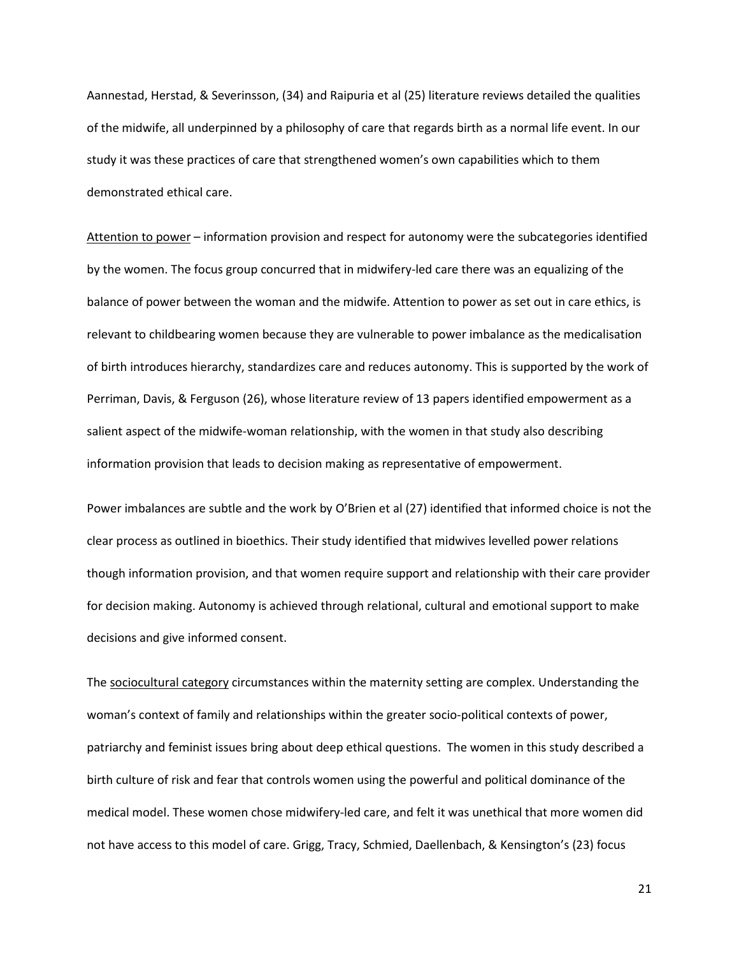Aannestad, Herstad, & Severinsson, (34) and Raipuria et al (25) literature reviews detailed the qualities of the midwife, all underpinned by a philosophy of care that regards birth as a normal life event. In our study it was these practices of care that strengthened women's own capabilities which to them demonstrated ethical care.

Attention to power – information provision and respect for autonomy were the subcategories identified by the women. The focus group concurred that in midwifery-led care there was an equalizing of the balance of power between the woman and the midwife. Attention to power as set out in care ethics, is relevant to childbearing women because they are vulnerable to power imbalance as the medicalisation of birth introduces hierarchy, standardizes care and reduces autonomy. This is supported by the work of Perriman, Davis, & Ferguson (26), whose literature review of 13 papers identified empowerment as a salient aspect of the midwife-woman relationship, with the women in that study also describing information provision that leads to decision making as representative of empowerment.

Power imbalances are subtle and the work by O'Brien et al (27) identified that informed choice is not the clear process as outlined in bioethics. Their study identified that midwives levelled power relations though information provision, and that women require support and relationship with their care provider for decision making. Autonomy is achieved through relational, cultural and emotional support to make decisions and give informed consent.

The sociocultural category circumstances within the maternity setting are complex. Understanding the woman's context of family and relationships within the greater socio-political contexts of power, patriarchy and feminist issues bring about deep ethical questions. The women in this study described a birth culture of risk and fear that controls women using the powerful and political dominance of the medical model. These women chose midwifery-led care, and felt it was unethical that more women did not have access to this model of care. Grigg, Tracy, Schmied, Daellenbach, & Kensington's (23) focus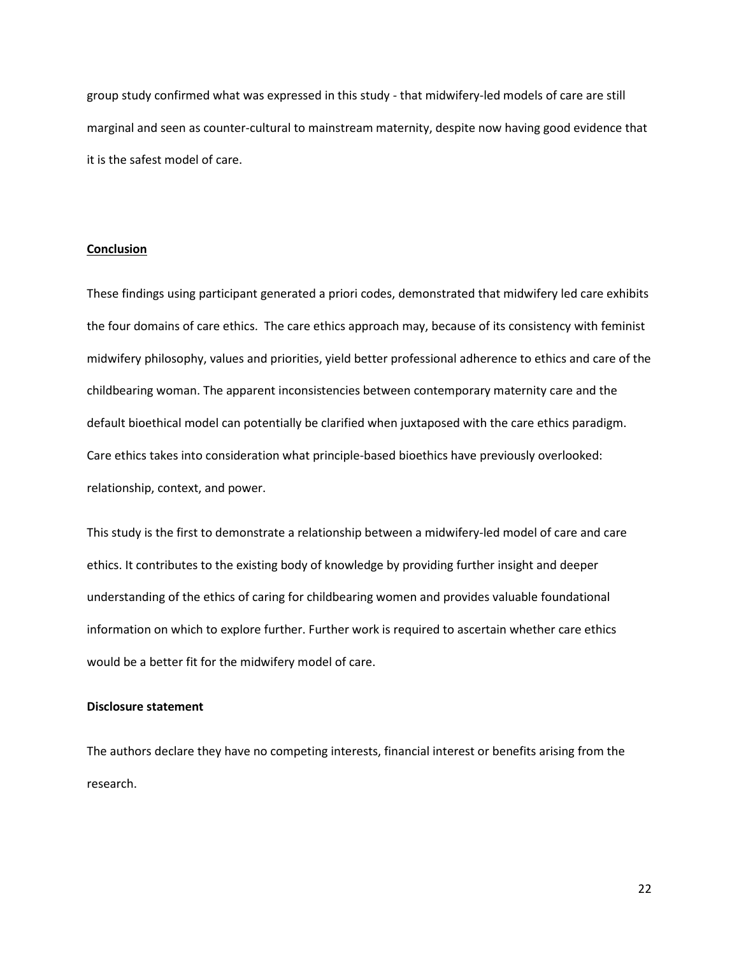group study confirmed what was expressed in this study - that midwifery-led models of care are still marginal and seen as counter-cultural to mainstream maternity, despite now having good evidence that it is the safest model of care.

### **Conclusion**

These findings using participant generated a priori codes, demonstrated that midwifery led care exhibits the four domains of care ethics. The care ethics approach may, because of its consistency with feminist midwifery philosophy, values and priorities, yield better professional adherence to ethics and care of the childbearing woman. The apparent inconsistencies between contemporary maternity care and the default bioethical model can potentially be clarified when juxtaposed with the care ethics paradigm. Care ethics takes into consideration what principle-based bioethics have previously overlooked: relationship, context, and power.

This study is the first to demonstrate a relationship between a midwifery-led model of care and care ethics. It contributes to the existing body of knowledge by providing further insight and deeper understanding of the ethics of caring for childbearing women and provides valuable foundational information on which to explore further. Further work is required to ascertain whether care ethics would be a better fit for the midwifery model of care.

### **Disclosure statement**

The authors declare they have no competing interests, financial interest or benefits arising from the research.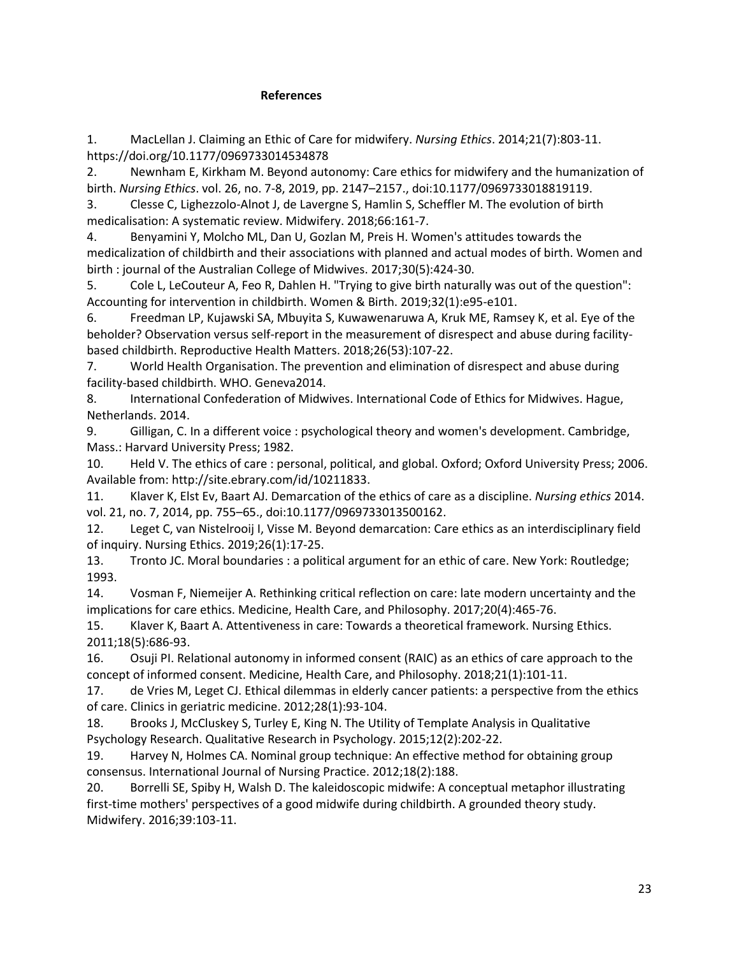### **References**

1. MacLellan J. Claiming an Ethic of Care for midwifery. *Nursing Ethics*. 2014;21(7):803-11. https://doi.org/10.1177/0969733014534878

2. Newnham E, Kirkham M. Beyond autonomy: Care ethics for midwifery and the humanization of birth. *Nursing Ethics*. vol. 26, no. 7-8, 2019, pp. 2147–2157., doi:10.1177/0969733018819119.

3. Clesse C, Lighezzolo-Alnot J, de Lavergne S, Hamlin S, Scheffler M. The evolution of birth medicalisation: A systematic review. Midwifery. 2018;66:161-7.

4. Benyamini Y, Molcho ML, Dan U, Gozlan M, Preis H. Women's attitudes towards the medicalization of childbirth and their associations with planned and actual modes of birth. Women and birth : journal of the Australian College of Midwives. 2017;30(5):424-30.

5. Cole L, LeCouteur A, Feo R, Dahlen H. "Trying to give birth naturally was out of the question": Accounting for intervention in childbirth. Women & Birth. 2019;32(1):e95-e101.

6. Freedman LP, Kujawski SA, Mbuyita S, Kuwawenaruwa A, Kruk ME, Ramsey K, et al. Eye of the beholder? Observation versus self-report in the measurement of disrespect and abuse during facilitybased childbirth. Reproductive Health Matters. 2018;26(53):107-22.

7. World Health Organisation. The prevention and elimination of disrespect and abuse during facility-based childbirth. WHO. Geneva2014.

8. International Confederation of Midwives. International Code of Ethics for Midwives. Hague, Netherlands. 2014.

9. Gilligan, C. In a different voice : psychological theory and women's development. Cambridge, Mass.: Harvard University Press; 1982.

10. Held V. The ethics of care : personal, political, and global. Oxford; Oxford University Press; 2006. Available from: http://site.ebrary.com/id/10211833.

11. Klaver K, Elst Ev, Baart AJ. Demarcation of the ethics of care as a discipline. *Nursing ethics* 2014. vol. 21, no. 7, 2014, pp. 755–65., doi:10.1177/0969733013500162.

12. Leget C, van Nistelrooij I, Visse M. Beyond demarcation: Care ethics as an interdisciplinary field of inquiry. Nursing Ethics. 2019;26(1):17-25.

13. Tronto JC. Moral boundaries : a political argument for an ethic of care. New York: Routledge; 1993.

14. Vosman F, Niemeijer A. Rethinking critical reflection on care: late modern uncertainty and the implications for care ethics. Medicine, Health Care, and Philosophy. 2017;20(4):465-76.

15. Klaver K, Baart A. Attentiveness in care: Towards a theoretical framework. Nursing Ethics. 2011;18(5):686-93.

16. Osuji PI. Relational autonomy in informed consent (RAIC) as an ethics of care approach to the concept of informed consent. Medicine, Health Care, and Philosophy. 2018;21(1):101-11.

17. de Vries M, Leget CJ. Ethical dilemmas in elderly cancer patients: a perspective from the ethics of care. Clinics in geriatric medicine. 2012;28(1):93-104.

18. Brooks J, McCluskey S, Turley E, King N. The Utility of Template Analysis in Qualitative Psychology Research. Qualitative Research in Psychology. 2015;12(2):202-22.

19. Harvey N, Holmes CA. Nominal group technique: An effective method for obtaining group consensus. International Journal of Nursing Practice. 2012;18(2):188.

20. Borrelli SE, Spiby H, Walsh D. The kaleidoscopic midwife: A conceptual metaphor illustrating first-time mothers' perspectives of a good midwife during childbirth. A grounded theory study. Midwifery. 2016;39:103-11.